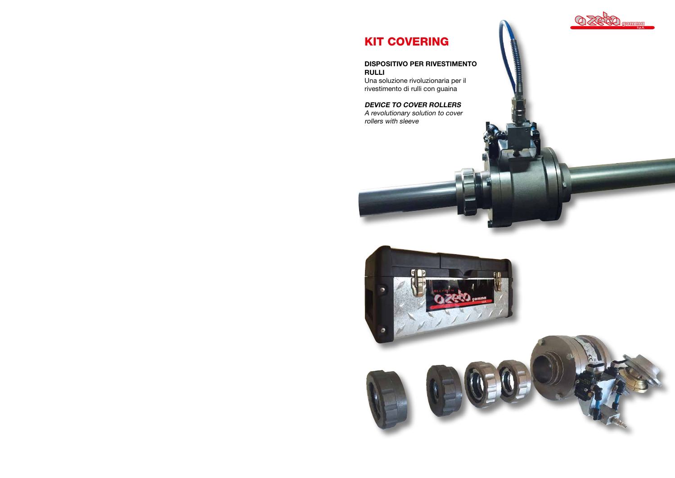# KIT COVERING

### DISPOSITIVO PER RIVESTIMENTO RULLI

Una soluzione rivoluzionaria per il rivestimento di rulli con guaina

## DEVICE TO COVER ROLLERS

A revolutionary solution to cover rollers with sleeve